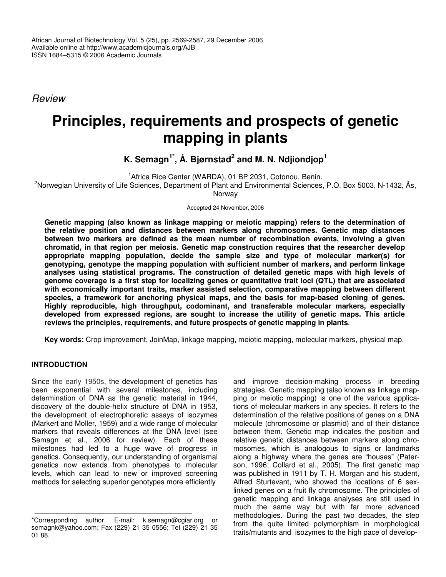*Review*

# **Principles, requirements and prospects of genetic mapping in plants**

# **K. Semagn 1\* , Å. Bjørnstad 2 and M. N. Ndjiondjop 1**

<sup>1</sup> Africa Rice Center (WARDA), 01 BP 2031, Cotonou, Benin.

<sup>2</sup>Norwegian University of Life Sciences, Department of Plant and Environmental Sciences, P.O. Box 5003, N-1432, Ås, Norway

Accepted 24 November, 2006

**Genetic mapping (also known as linkage mapping or meiotic mapping) refers to the determination of the relative position and distances between markers along chromosomes. Genetic map distances between two markers are defined as the mean number of recombination events, involving a given chromatid, in that region per meiosis. Genetic map construction requires that the researcher develop appropriate mapping population, decide the sample size and type of molecular marker(s) for genotyping, genotype the mapping population with sufficient number of markers, and perform linkage analyses using statistical programs. The construction of detailed genetic maps with high levels of genome coverage is a first step for localizing genes or quantitative trait loci (QTL) that are associated with economically important traits, marker assisted selection, comparative mapping between different species, a framework for anchoring physical maps, and the basis for map-based cloning of genes. Highly reproducible, high throughput, codominant, and transferable molecular markers, especially developed from expressed regions, are sought to increase the utility of genetic maps. This article reviews the principles, requirements, and future prospects of genetic mapping in plants**.

**Key words:** Crop improvement, JoinMap, linkage mapping, meiotic mapping, molecular markers, physical map.

# **INTRODUCTION**

Since the early 1950s, the development of genetics has been exponential with several milestones, including determination of DNA as the genetic material in 1944, discovery of the double-helix structure of DNA in 1953, the development of electrophoretic assays of isozymes (Markert and Moller, 1959) and a wide range of molecular markers that reveals differences at the DNA level (see Semagn et al., 2006 for review). Each of these milestones had led to a huge wave of progress in genetics. Consequently, our understanding of organismal genetics now extends from phenotypes to molecular levels, which can lead to new or improved screening methods for selecting superior genotypes more efficiently

and improve decision-making process in breeding strategies. Genetic mapping (also known as linkage mapping or meiotic mapping) is one of the various applications of molecular markers in any species. It refers to the determination of the relative positions of genes on a DNA molecule (chromosome or plasmid) and of their distance between them. Genetic map indicates the position and relative genetic distances between markers along chromosomes, which is analogous to signs or landmarks along a highway where the genes are "houses" (Paterson, 1996; Collard et al., 2005). The first genetic map was published in 1911 by T. H. Morgan and his student, Alfred Sturtevant, who showed the locations of 6 sexlinked genes on a fruit fly chromosome. The principles of genetic mapping and linkage analyses are still used in much the same way but with far more advanced methodologies. During the past two decades, the step from the quite limited polymorphism in morphological traits/mutants and isozymes to the high pace of develop-

<sup>\*</sup>Corresponding author. E-mail: k.semagn@cgiar.org or semagnk@yahoo.com; Fax (229) 21 35 0556; Tel (229) 21 35 01 88.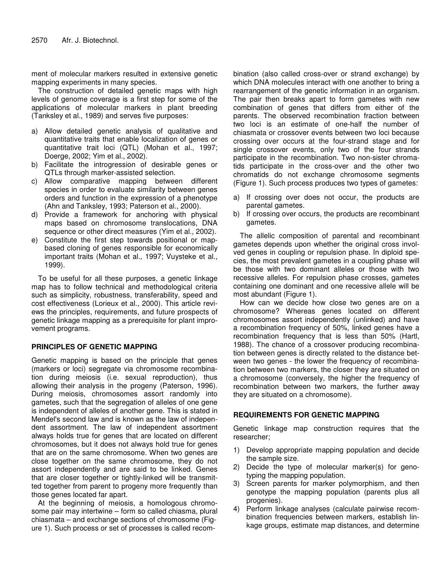ment of molecular markers resulted in extensive genetic mapping experiments in many species.

The construction of detailed genetic maps with high levels of genome coverage is a first step for some of the applications of molecular markers in plant breeding (Tanksley et al., 1989) and serves five purposes:

- a) Allow detailed genetic analysis of qualitative and quantitative traits that enable localization of genes or quantitative trait loci (QTL) (Mohan et al., 1997; Doerge, 2002; Yim et al., 2002).
- b) Facilitate the introgression of desirable genes or QTLs through marker-assisted selection.
- c) Allow comparative mapping between different species in order to evaluate similarity between genes orders and function in the expression of a phenotype (Ahn and Tanksley, 1993; Paterson et al., 2000).
- d) Provide a framework for anchoring with physical maps based on chromosome translocations, DNA sequence or other direct measures (Yim et al., 2002).
- e) Constitute the first step towards positional or mapbased cloning of genes responsible for economically important traits (Mohan et al., 1997; Vuysteke et al., 1999).

To be useful for all these purposes, a genetic linkage map has to follow technical and methodological criteria such as simplicity, robustness, transferability, speed and cost effectiveness (Lorieux et al., 2000). This article reviews the principles, requirements, and future prospects of genetic linkage mapping as a prerequisite for plant improvement programs.

# **PRINCIPLES OF GENETIC MAPPING**

Genetic mapping is based on the principle that genes (markers or loci) segregate via chromosome recombination during meiosis (i.e. sexual reproduction), thus allowing their analysis in the progeny (Paterson, 1996). During meiosis, chromosomes assort randomly into gametes, such that the segregation of alleles of one gene is independent of alleles of another gene. This is stated in Mendel's second law and is known as the law of independent assortment. The law of independent assortment always holds true for genes that are located on different chromosomes, but it does not always hold true for genes that are on the same chromosome. When two genes are close together on the same chromosome, they do not assort independently and are said to be linked. Genes that are closer together or tightly-linked will be transmitted together from parent to progeny more frequently than those genes located far apart.

At the beginning of meiosis, a homologous chromosome pair may intertwine – form so called chiasma, plural chiasmata – and exchange sections of chromosome (Figure 1). Such process or set of processes is called recombination (also called cross-over or strand exchange) by which DNA molecules interact with one another to bring a rearrangement of the genetic information in an organism. The pair then breaks apart to form gametes with new combination of genes that differs from either of the parents. The observed recombination fraction between two loci is an estimate of one-half the number of chiasmata or crossover events between two loci because crossing over occurs at the four-strand stage and for single crossover events, only two of the four strands participate in the recombination. Two non-sister chromatids participate in the cross-over and the other two chromatids do not exchange chromosome segments (Figure 1). Such process produces two types of gametes:

- a) If crossing over does not occur, the products are parental gametes.
- b) If crossing over occurs, the products are recombinant gametes.

The allelic composition of parental and recombinant gametes depends upon whether the original cross involved genes in coupling or repulsion phase. In diploid species, the most prevalent gametes in a coupling phase will be those with two dominant alleles or those with two recessive alleles. For repulsion phase crosses, gametes containing one dominant and one recessive allele will be most abundant (Figure 1).

How can we decide how close two genes are on a chromosome? Whereas genes located on different chromosomes assort independently (unlinked) and have a recombination frequency of 50%, linked genes have a recombination frequency that is less than 50% (Hartl, 1988). The chance of a crossover producing recombination between genes is directly related to the distance between two genes - the lower the frequency of recombination between two markers, the closer they are situated on a chromosome (conversely, the higher the frequency of recombination between two markers, the further away they are situated on a chromosome).

# **REQUIREMENTS FOR GENETIC MAPPING**

Genetic linkage map construction requires that the researcher;

- 1) Develop appropriate mapping population and decide the sample size.
- 2) Decide the type of molecular marker(s) for genotyping the mapping population.
- 3) Screen parents for marker polymorphism, and then genotype the mapping population (parents plus all progenies).
- 4) Perform linkage analyses (calculate pairwise recombination frequencies between markers, establish linkage groups, estimate map distances, and determine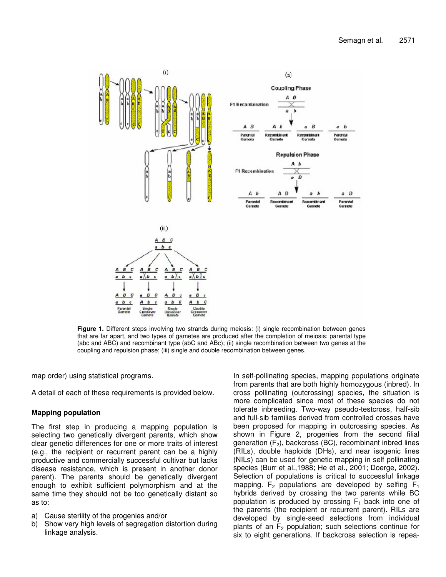

**Figure 1.** Different steps involving two strands during meiosis: (i) single recombination between genes that are far apart, and two types of gametes are produced after the completion of meiosis: parental type (abc and ABC) and recombinant type (abC and ABc); (ii) single recombination between two genes at the coupling and repulsion phase; (iii) single and double recombination between genes.

map order) using statistical programs.

A detail of each of these requirements is provided below.

# **Mapping population**

The first step in producing a mapping population is selecting two genetically divergent parents, which show clear genetic differences for one or more traits of interest (e.g., the recipient or recurrent parent can be a highly productive and commercially successful cultivar but lacks disease resistance, which is present in another donor parent). The parents should be genetically divergent enough to exhibit sufficient polymorphism and at the same time they should not be too genetically distant so as to:

- a) Cause sterility of the progenies and/or
- b) Show very high levels of segregation distortion during linkage analysis.

In self-pollinating species, mapping populations originate from parents that are both highly homozygous (inbred). In cross pollinating (outcrossing) species, the situation is more complicated since most of these species do not tolerate inbreeding. Two-way pseudo-testcross, half-sib and full-sib families derived from controlled crosses have been proposed for mapping in outcrossing species. As shown in Figure 2, progenies from the second filial generation  $(F_2)$ , backcross (BC), recombinant inbred lines (RILs), double haploids (DHs), and near isogenic lines (NILs) can be used for genetic mapping in self pollinating species (Burr et al.,1988; He et al., 2001; Doerge, 2002). Selection of populations is critical to successful linkage mapping.  $F_2$  populations are developed by selfing  $F_1$ hybrids derived by crossing the two parents while BC population is produced by crossing  $F_1$  back into one of the parents (the recipient or recurrent parent). RILs are developed by single-seed selections from individual plants of an  $F_2$  population; such selections continue for six to eight generations. If backcross selection is repea-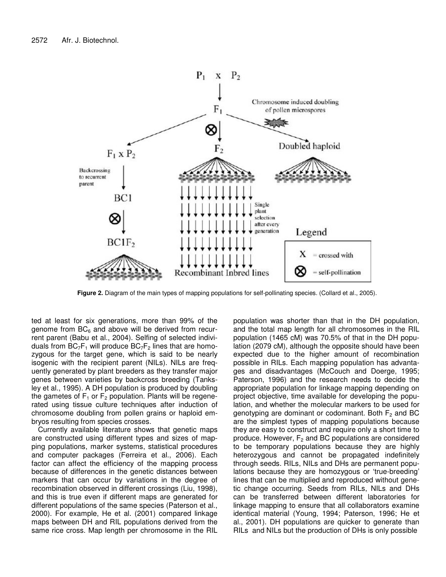

**Figure 2.** Diagram of the main types of mapping populations for self-pollinating species. (Collard et al., 2005).

ted at least for six generations, more than 99% of the genome from  $BC_6$  and above will be derived from recurrent parent (Babu et al., 2004). Selfing of selected individuals from  $BC_7F_1$  will produce  $BC_7F_2$  lines that are homozygous for the target gene, which is said to be nearly isogenic with the recipient parent (NILs). NILs are frequently generated by plant breeders as they transfer major genes between varieties by backcross breeding (Tanksley et al., 1995). A DH population is produced by doubling the gametes of  $F_1$  or  $F_2$  population. Plants will be regenerated using tissue culture techniques after induction of chromosome doubling from pollen grains or haploid embryos resulting from species crosses.

Currently available literature shows that genetic maps are constructed using different types and sizes of mapping populations, marker systems, statistical procedures and computer packages (Ferreira et al., 2006). Each factor can affect the efficiency of the mapping process because of differences in the genetic distances between markers that can occur by variations in the degree of recombination observed in different crossings (Liu, 1998), and this is true even if different maps are generated for different populations of the same species (Paterson et al., 2000). For example, He et al. (2001) compared linkage maps between DH and RIL populations derived from the same rice cross. Map length per chromosome in the RIL

population was shorter than that in the DH population, and the total map length for all chromosomes in the RIL population (1465 cM) was 70.5% of that in the DH population (2079 cM), although the opposite should have been expected due to the higher amount of recombination possible in RILs. Each mapping population has advantages and disadvantages (McCouch and Doerge, 1995; Paterson, 1996) and the research needs to decide the appropriate population for linkage mapping depending on project objective, time available for developing the population, and whether the molecular markers to be used for genotyping are dominant or codominant. Both  $F_2$  and BC are the simplest types of mapping populations because they are easy to construct and require only a short time to produce. However,  $F_2$  and BC populations are considered to be temporary populations because they are highly heterozygous and cannot be propagated indefinitely through seeds. RILs, NILs and DHs are permanent populations because they are homozygous or 'true-breeding' lines that can be multiplied and reproduced without genetic change occurring. Seeds from RILs, NILs and DHs can be transferred between different laboratories for linkage mapping to ensure that all collaborators examine identical material (Young, 1994; Paterson, 1996; He et al., 2001). DH populations are quicker to generate than RILs and NILs but the production of DHs is only possible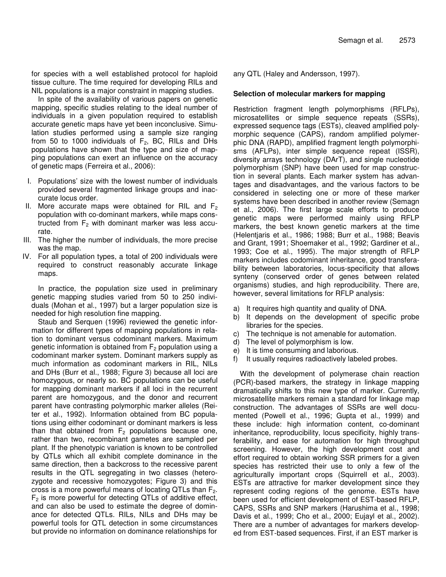for species with a well established protocol for haploid tissue culture. The time required for developing RILs and NIL populations is a major constraint in mapping studies.

In spite of the availability of various papers on genetic mapping, specific studies relating to the ideal number of individuals in a given population required to establish accurate genetic maps have yet been inconclusive. Simulation studies performed using a sample size ranging from 50 to 1000 individuals of  $F_2$ , BC, RILs and DHs populations have shown that the type and size of mapping populations can exert an influence on the accuracy of genetic maps (Ferreira et al., 2006):

- I. Populations' size with the lowest number of individuals provided several fragmented linkage groups and inaccurate locus order.
- II. More accurate maps were obtained for RIL and  $F_2$ population with co-dominant markers, while maps constructed from  $F_2$  with dominant marker was less accurate.
- III. The higher the number of individuals, the more precise was the map.
- IV. For all population types, a total of 200 individuals were required to construct reasonably accurate linkage maps.

In practice, the population size used in preliminary genetic mapping studies varied from 50 to 250 individuals (Mohan et al., 1997) but a larger population size is needed for high resolution fine mapping.

Staub and Serquen (1996) reviewed the genetic information for different types of mapping populations in relation to dominant versus codominant markers. Maximum genetic information is obtained from  $F_2$  population using a codominant marker system. Dominant markers supply as much information as codominant markers in RIL, NILs and DHs (Burr et al., 1988; Figure 3) because all loci are homozygous, or nearly so. BC populations can be useful for mapping dominant markers if all loci in the recurrent parent are homozygous, and the donor and recurrent parent have contrasting polymorphic marker alleles (Reiter et al., 1992). Information obtained from BC populations using either codominant or dominant markers is less than that obtained from  $F_2$  populations because one, rather than two, recombinant gametes are sampled per plant. If the phenotypic variation is known to be controlled by QTLs which all exhibit complete dominance in the same direction, then a backcross to the recessive parent results in the QTL segregating in two classes (heterozygote and recessive homozygotes; Figure 3) and this cross is a more powerful means of locating QTLs than  $F_2$ .  $F<sub>2</sub>$  is more powerful for detecting QTLs of additive effect, and can also be used to estimate the degree of dominance for detected QTLs. RILs, NILs and DHs may be powerful tools for QTL detection in some circumstances but provide no information on dominance relationships for

any QTL (Haley and Andersson, 1997).

### **Selection of molecular markers for mapping**

Restriction fragment length polymorphisms (RFLPs), microsatellites or simple sequence repeats (SSRs), expressed sequence tags (ESTs), cleaved amplified polymorphic sequence (CAPS), random amplified polymerphic DNA (RAPD), amplified fragment length polymorphisms (AFLPs), inter simple sequence repeat (ISSR), diversity arrays technology (DArT), and single nucleotide polymorphism (SNP) have been used for map construction in several plants. Each marker system has advantages and disadvantages, and the various factors to be considered in selecting one or more of these marker systems have been described in another review (Semagn et al., 2006). The first large scale efforts to produce genetic maps were performed mainly using RFLP markers, the best known genetic markers at the time (Helentjaris et al., 1986; 1988; Burr et al., 1988; Beavis and Grant, 1991; Shoemaker et al., 1992; Gardiner et al., 1993; Coe et al., 1995). The major strength of RFLP markers includes codominant inheritance, good transferability between laboratories, locus-specificity that allows synteny (conserved order of genes between related organisms) studies, and high reproducibility. There are, however, several limitations for RFLP analysis:

- a) It requires high quantity and quality of DNA.
- b) It depends on the development of specific probe libraries for the species.
- c) The technique is not amenable for automation.
- d) The level of polymorphism is low.
- e) It is time consuming and laborious.
- f) It usually requires radioactively labeled probes.

With the development of polymerase chain reaction (PCR)-based markers, the strategy in linkage mapping dramatically shifts to this new type of marker. Currently, microsatellite markers remain a standard for linkage map construction. The advantages of SSRs are well documented (Powell et al., 1996; Gupta et al., 1999) and these include: high information content, co-dominant inheritance, reproducibility, locus specificity, highly transferability, and ease for automation for high throughput screening. However, the high development cost and effort required to obtain working SSR primers for a given species has restricted their use to only a few of the agriculturally important crops (Squirrell et al., 2003). ESTs are attractive for marker development since they represent coding regions of the genome. ESTs have been used for efficient development of EST-based RFLP, CAPS, SSRs and SNP markers (Harushima et al., 1998; Davis et al., 1999; Cho et al., 2000; Eujayl et al., 2002). There are a number of advantages for markers developed from EST-based sequences. First, if an EST marker is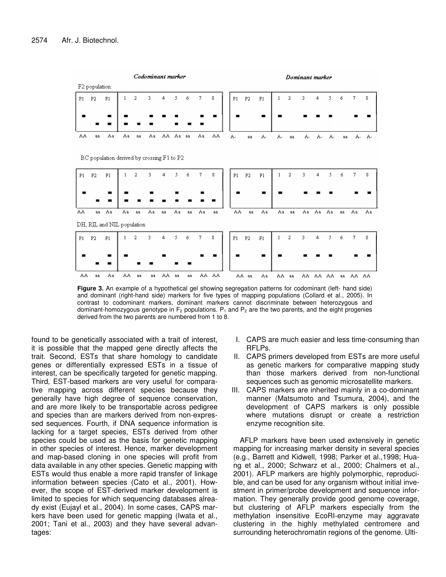

**Figure 3.** An example of a hypothetical gel showing segregation patterns for codominant (left- hand side) and dominant (right-hand side) markers for five types of mapping populations (Collard et al., 2005). In contrast to codominant markers, dominant markers cannot discriminate between heterozygous and dominant-homozygous genotype in  $F_2$  populations.  $P_1$  and  $P_2$  are the two parents, and the eight progenies derived from the two parents are numbered from 1 to 8.

found to be genetically associated with a trait of interest, it is possible that the mapped gene directly affects the trait. Second, ESTs that share homology to candidate genes or differentially expressed ESTs in a tissue of interest, can be specifically targeted for genetic mapping. Third, EST-based markers are very useful for comparative mapping across different species because they generally have high degree of sequence conservation, and are more likely to be transportable across pedigree and species than are markers derived from non-expressed sequences. Fourth, if DNA sequence information is lacking for a target species, ESTs derived from other species could be used as the basis for genetic mapping in other species of interest. Hence, marker development and map-based cloning in one species will profit from data available in any other species. Genetic mapping with ESTs would thus enable a more rapid transfer of linkage information between species (Cato et al., 2001). However, the scope of EST-derived marker development is limited to species for which sequencing databases already exist (Eujayl et al., 2004). In some cases, CAPS markers have been used for genetic mapping (Iwata et al., 2001; Tani et al., 2003) and they have several advantages:

- I. CAPS are much easier and less time-consuming than RFLPs.
- II. CAPS primers developed from ESTs are more useful as genetic markers for comparative mapping study than those markers derived from non-functional sequences such as genomic microsatellite markers.
- III. CAPS markers are inherited mainly in a co-dominant manner (Matsumoto and Tsumura, 2004), and the development of CAPS markers is only possible where mutations disrupt or create a restriction enzyme recognition site.

AFLP markers have been used extensively in genetic mapping for increasing marker density in several species (e.g., Barrett and Kidwell, 1998; Parker et al.,1998; Huang et al., 2000; Schwarz et al., 2000; Chalmers et al., 2001). AFLP markers are highly polymorphic, reproducible, and can be used for any organism without initial investment in primer/probe development and sequence information. They generally provide good genome coverage, but clustering of AFLP markers especially from the methylation insensitive EcoRI-enzyme may aggravate clustering in the highly methylated centromere and surrounding heterochromatin regions of the genome. Ulti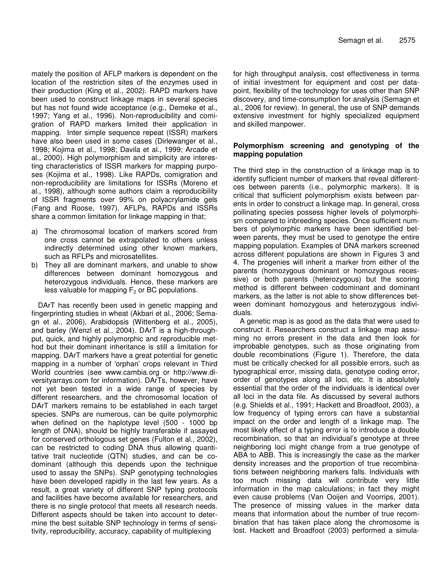mately the position of AFLP markers is dependent on the location of the restriction sites of the enzymes used in their production (King et al., 2002). RAPD markers have been used to construct linkage maps in several species but has not found wide acceptance (e.g., Demeke et al., 1997; Yang et al., 1996). Non-reproducibility and comigration of RAPD markers limited their application in mapping. Inter simple sequence repeat (ISSR) markers have also been used in some cases (Dirlewanger et al., 1998; Kojima et al., 1998; Davila et al., 1999; Arcade et al., 2000). High polymorphism and simplicity are interesting characteristics of ISSR markers for mapping purposes (Kojima et al., 1998). Like RAPDs, comigration and non-reproducibility are limitations for ISSRs (Moreno et al., 1998), although some authors claim a reproducibility of ISSR fragments over 99% on polyacrylamide gels (Fang and Roose, 1997). AFLPs, RAPDs and ISSRs share a common limitation for linkage mapping in that;

- a) The chromosomal location of markers scored from one cross cannot be extrapolated to others unless indirectly determined using other known markers, such as RFLPs and microsatellites.
- b) They all are dominant markers, and unable to show differences between dominant homozygous and heterozygous individuals. Hence, these markers are less valuable for mapping  $F<sub>2</sub>$  or BC populations.

DArT has recently been used in genetic mapping and fingerprinting studies in wheat (Akbari et al., 2006; Semagn et al., 2006), Arabidopsis (Wittenberg et al., 2005), and barley (Wenzl et al., 2004). DArT is a high-throughput, quick, and highly polymorphic and reproducible method but their dominant inheritance is still a limitation for mapping. DArT markers have a great potential for genetic mapping in a number of 'orphan' crops relevant in Third World countries (see www.cambia.org or http://www.diversityarrays.com for information). DArTs, however, have not yet been tested in a wide range of species by different researchers, and the chromosomal location of DArT markers remains to be established in each target species. SNPs are numerous, can be quite polymorphic when defined on the haplotype level (500 - 1000 bp length of DNA), should be highly transferable if assayed for conserved orthologous set genes (Fulton et al., 2002), can be restricted to coding DNA thus allowing quantitative trait nucleotide (QTN) studies, and can be codominant (although this depends upon the technique used to assay the SNPs). SNP genotyping technologies have been developed rapidly in the last few years. As a result, a great variety of different SNP typing protocols and facilities have become available for researchers, and there is no single protocol that meets all research needs. Different aspects should be taken into account to determine the best suitable SNP technology in terms of sensitivity, reproducibility, accuracy, capability of multiplexing

for high throughput analysis, cost effectiveness in terms of initial investment for equipment and cost per datapoint, flexibility of the technology for uses other than SNP discovery, and time-consumption for analysis (Semagn et al., 2006 for review). In general, the use of SNP demands extensive investment for highly specialized equipment and skilled manpower.

# **Polymorphism screening and genotyping of the mapping population**

The third step in the construction of a linkage map is to identify sufficient number of markers that reveal differentces between parents (i.e., polymorphic markers). It is critical that sufficient polymorphism exists between parents in order to construct a linkage map. In general, cross pollinating species possess higher levels of polymorphism compared to inbreeding species. Once sufficient numbers of polymorphic markers have been identified between parents, they must be used to genotype the entire mapping population. Examples of DNA markers screened across different populations are shown in Figures 3 and 4. The progenies will inherit a marker from either of the parents (homozygous dominant or homozygous recessive) or both parents (heterozygous) but the scoring method is different between codominant and dominant markers, as the latter is not able to show differences between dominant homozygous and heterozygous individuals.

A genetic map is as good as the data that were used to construct it. Researchers construct a linkage map assuming no errors present in the data and then look for improbable genotypes, such as those originating from double recombinations (Figure 1). Therefore, the data must be critically checked for all possible errors, such as typographical error, missing data, genotype coding error, order of genotypes along all loci, etc. It is absolutely essential that the order of the individuals is identical over all loci in the data file. As discussed by several authors (e.g. Shields et al., 1991; Hackett and Broadfoot, 2003), a low frequency of typing errors can have a substantial impact on the order and length of a linkage map. The most likely effect of a typing error is to introduce a double recombination, so that an individual's genotype at three neighboring loci might change from a true genotype of ABA to ABB. This is increasingly the case as the marker density increases and the proportion of true recombinations between neighboring markers falls. Individuals with too much missing data will contribute very little information in the map calculations; in fact they might even cause problems (Van Ooijen and Voorrips, 2001). The presence of missing values in the marker data means that information about the number of true recombination that has taken place along the chromosome is lost. Hackett and Broadfoot (2003) performed a simula-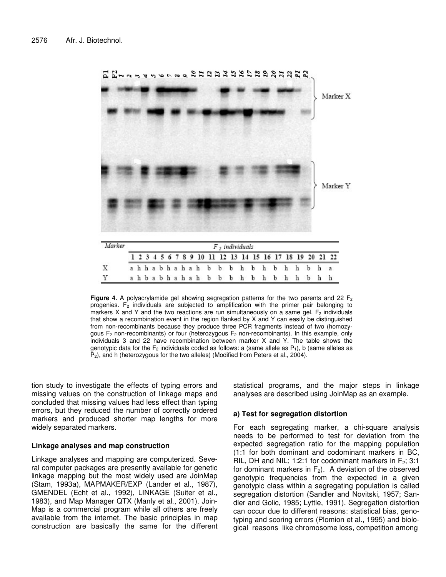

**Figure** 4. A polyacrylamide gel showing segregation patterns for the two parents and 22  $F_2$ progenies.  $F_2$  individuals are subjected to amplification with the primer pair belonging to markers X and Y and the two reactions are run simultaneously on a same gel.  $F_2$  individuals that show a recombination event in the region flanked by X and Y can easily be distinguished from non-recombinants because they produce three PCR fragments instead of two (homozygous  $F_2$  non-recombinants) or four (heterozygous  $F_2$  non-recombinants). In this example, only individuals 3 and 22 have recombination between marker X and Y. The table shows the genotypic data for the  $F_2$  individuals coded as follows: a (same allele as  $P_1$ ), b (same alleles as  $P_2$ ), and h (heterozygous for the two alleles) (Modified from Peters et al., 2004).

tion study to investigate the effects of typing errors and missing values on the construction of linkage maps and concluded that missing values had less effect than typing errors, but they reduced the number of correctly ordered markers and produced shorter map lengths for more widely separated markers.

#### **Linkage analyses and map construction**

Linkage analyses and mapping are computerized. Several computer packages are presently available for genetic linkage mapping but the most widely used are JoinMap (Stam, 1993a), MAPMAKER/EXP (Lander et al., 1987), GMENDEL (Echt et al., 1992), LINKAGE (Suiter et al., 1983), and Map Manager QTX (Manly et al., 2001). Join-Map is a commercial program while all others are freely available from the internet. The basic principles in map construction are basically the same for the different statistical programs, and the major steps in linkage analyses are described using JoinMap as an example.

# **a) Test for segregation distortion**

For each segregating marker, a chi-square analysis needs to be performed to test for deviation from the expected segregation ratio for the mapping population (1:1 for both dominant and codominant markers in BC, RIL, DH and NIL; 1:2:1 for codominant markers in  $F_2$ ; 3:1 for dominant markers in  $F_2$ ). A deviation of the observed genotypic frequencies from the expected in a given genotypic class within a segregating population is called segregation distortion (Sandler and Novitski, 1957; Sandler and Golic, 1985; Lyttle, 1991). Segregation distortion can occur due to different reasons: statistical bias, genotyping and scoring errors (Plomion et al., 1995) and biological reasons like chromosome loss, competition among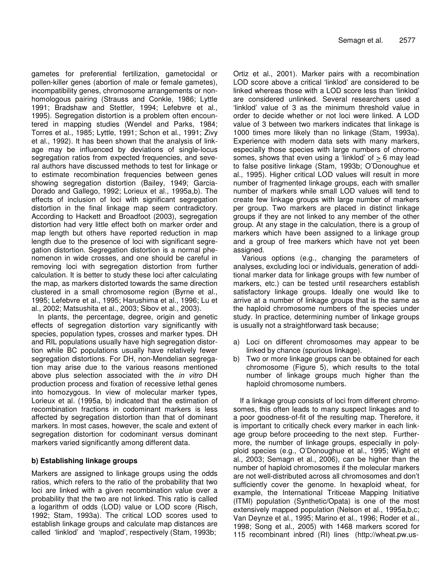gametes for preferential fertilization, gametocidal or pollen-killer genes (abortion of male or female gametes), incompatibility genes, chromosome arrangements or nonhomologous pairing (Strauss and Conkle, 1986; Lyttle 1991; Bradshaw and Stettler, 1994; Lefebvre et al., 1995). Segregation distortion is a problem often encountered in mapping studies (Wendel and Parks, 1984; Torres et al., 1985; Lyttle, 1991; Schon et al., 1991; Zivy et al., 1992). It has been shown that the analysis of linkage may be influenced by deviations of single-locus segregation ratios from expected frequencies, and several authors have discussed methods to test for linkage or to estimate recombination frequencies between genes showing segregation distortion (Bailey, 1949; Garcia-Dorado and Gallego, 1992; Lorieux et al., 1995a,b). The effects of inclusion of loci with significant segregation distortion in the final linkage map seem contradictory. According to Hackett and Broadfoot (2003), segregation distortion had very little effect both on marker order and map length but others have reported reduction in map length due to the presence of loci with significant segregation distortion. Segregation distortion is a normal phenomenon in wide crosses, and one should be careful in removing loci with segregation distortion from further calculation. It is better to study these loci after calculating the map, as markers distorted towards the same direction clustered in a small chromosome region (Byrne et al., 1995; Lefebvre et al., 1995; Harushima et al., 1996; Lu et al., 2002; Matsushita et al., 2003; Sibov et al., 2003).

In plants, the percentage, degree, origin and genetic effects of segregation distortion vary significantly with species, population types, crosses and marker types. DH and RIL populations usually have high segregation distortion while BC populations usually have relatively fewer segregation distortions. For DH, non-Mendelian segregation may arise due to the various reasons mentioned above plus selection associated with the *in vitro* DH production process and fixation of recessive lethal genes into homozygous. In view of molecular marker types, Lorieux et al. (1995a, b) indicated that the estimation of recombination fractions in codominant markers is less affected by segregation distortion than that of dominant markers. In most cases, however, the scale and extent of segregation distortion for codominant versus dominant markers varied significantly among different data.

# **b) Establishing linkage groups**

Markers are assigned to linkage groups using the odds ratios, which refers to the ratio of the probability that two loci are linked with a given recombination value over a probability that the two are not linked. This ratio is called a logarithm of odds (LOD) value or LOD score (Risch, 1992; Stam, 1993a). The critical LOD scores used to establish linkage groups and calculate map distances are called 'linklod' and 'maplod', respectively (Stam, 1993b;

Ortiz et al., 2001). Marker pairs with a recombination LOD score above a critical 'linklod' are considered to be linked whereas those with a LOD score less than 'linklod' are considered unlinked. Several researchers used a 'linklod' value of 3 as the minimum threshold value in order to decide whether or not loci were linked. A LOD value of 3 between two markers indicates that linkage is 1000 times more likely than no linkage (Stam, 1993a). Experience with modern data sets with many markers, especially those species with large numbers of chromosomes, shows that even using a 'linklod' of  $> 6$  may lead to false positive linkage (Stam, 1993b; O'Donoughue et al., 1995). Higher critical LOD values will result in more number of fragmented linkage groups, each with smaller number of markers while small LOD values will tend to create few linkage groups with large number of markers per group. Two markers are placed in distinct linkage groups if they are not linked to any member of the other group. At any stage in the calculation, there is a group of markers which have been assigned to a linkage group and a group of free markers which have not yet been assigned.

Various options (e.g., changing the parameters of analyses, excluding loci or individuals, generation of additional marker data for linkage groups with few number of markers, etc.) can be tested until researchers establish satisfactory linkage groups. Ideally one would like to arrive at a number of linkage groups that is the same as the haploid chromosome numbers of the species under study. In practice, determining number of linkage groups is usually not a straightforward task because;

- a) Loci on different chromosomes may appear to be linked by chance (spurious linkage).
- b) Two or more linkage groups can be obtained for each chromosome (Figure 5), which results to the total number of linkage groups much higher than the haploid chromosome numbers.

If a linkage group consists of loci from different chromosomes, this often leads to many suspect linkages and to a poor goodness-of-fit of the resulting map. Therefore, it is important to critically check every marker in each linkage group before proceeding to the next step. Furthermore, the number of linkage groups, especially in polyploid species (e.g., O'Donoughue et al., 1995; Wight et al., 2003; Semagn et al., 2006), can be higher than the number of haploid chromosomes if the molecular markers are not well-distributed across all chromosomes and don't sufficiently cover the genome. In hexaploid wheat, for example, the International Triticeae Mapping Initiative (ITMI) population (Synthetic/Opata) is one of the most extensively mapped population (Nelson et al., 1995a,b,c; Van Deynze et al., 1995; Marino et al., 1996; Roder et al., 1998; Song et al., 2005) with 1468 markers scored for 115 recombinant inbred (RI) lines (http://wheat.pw.us-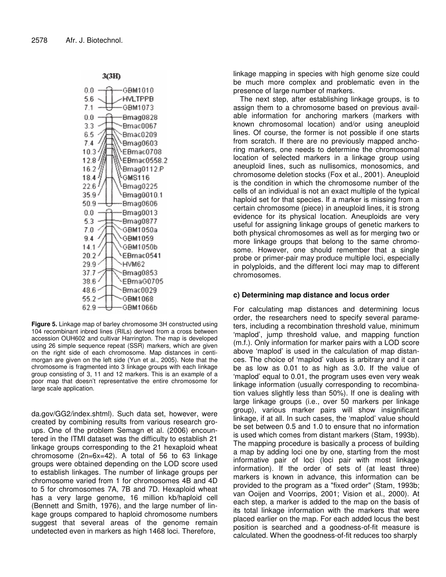

3(3H)

**Figure 5.** Linkage map of barley chromosome 3H constructed using 104 recombinant inbred lines (RILs) derived from a cross between accession OUH602 and cultivar Harrington. The map is developed using 26 simple sequence repeat (SSR) markers, which are given on the right side of each chromosome. Map distances in centimorgan are given on the left side (Yun et al., 2005). Note that the chromosome is fragmented into 3 linkage groups with each linkage group consisting of 3, 11 and 12 markers. This is an example of a poor map that doesn't representative the entire chromosome for large scale application.

da.gov/GG2/index.shtml). Such data set, however, were created by combining results from various research groups. One of the problem Semagn et al. (2006) encountered in the ITMI dataset was the difficulty to establish 21 linkage groups corresponding to the 21 hexaploid wheat chromosome (2n=6x=42). A total of 56 to 63 linkage groups were obtained depending on the LOD score used to establish linkages. The number of linkage groups per chromosome varied from 1 for chromosomes 4B and 4D to 5 for chromosomes 7A, 7B and 7D. Hexaploid wheat has a very large genome, 16 million kb/haploid cell (Bennett and Smith, 1976), and the large number of linkage groups compared to haploid chromosome numbers suggest that several areas of the genome remain undetected even in markers as high 1468 loci. Therefore,

linkage mapping in species with high genome size could be much more complex and problematic even in the presence of large number of markers.

The next step, after establishing linkage groups, is to assign them to a chromosome based on previous available information for anchoring markers (markers with known chromosomal location) and/or using aneuploid lines. Of course, the former is not possible if one starts from scratch. If there are no previously mapped anchoring markers, one needs to determine the chromosomal location of selected markers in a linkage group using aneuploid lines, such as nullisomics, monosomics, and chromosome deletion stocks (Fox et al., 2001). Aneuploid is the condition in which the chromosome number of the cells of an individual is not an exact multiple of the typical haploid set for that species. If a marker is missing from a certain chromosome (piece) in aneuploid lines, it is strong evidence for its physical location. Aneuploids are very useful for assigning linkage groups of genetic markers to both physical chromosomes as well as for merging two or more linkage groups that belong to the same chromosome. However, one should remember that a single probe or primer-pair may produce multiple loci, especially in polyploids, and the different loci may map to different chromosomes.

# **c) Determining map distance and locus order**

For calculating map distances and determining locus order, the researchers need to specify several parameters, including a recombination threshold value, minimum 'maplod', jump threshold value, and mapping function (m.f.). Only information for marker pairs with a LOD score above 'maplod' is used in the calculation of map distances. The choice of 'maplod' values is arbitrary and it can be as low as 0.01 to as high as 3.0. If the value of 'maplod' equal to 0.01, the program uses even very weak linkage information (usually corresponding to recombination values slightly less than 50%). If one is dealing with large linkage groups (i.e., over 50 markers per linkage group), various marker pairs will show insignificant linkage, if at all. In such cases, the 'maplod' value should be set between 0.5 and 1.0 to ensure that no information is used which comes from distant markers (Stam, 1993b). The mapping procedure is basically a process of building a map by adding loci one by one, starting from the most informative pair of loci (loci pair with most linkage information). If the order of sets of (at least three) markers is known in advance, this information can be provided to the program as a "fixed order" (Stam, 1993b; van Ooijen and Voorrips, 2001; Vision et al., 2000). At each step, a marker is added to the map on the basis of its total linkage information with the markers that were placed earlier on the map. For each added locus the best position is searched and a goodness-of-fit measure is calculated. When the goodness-of-fit reduces too sharply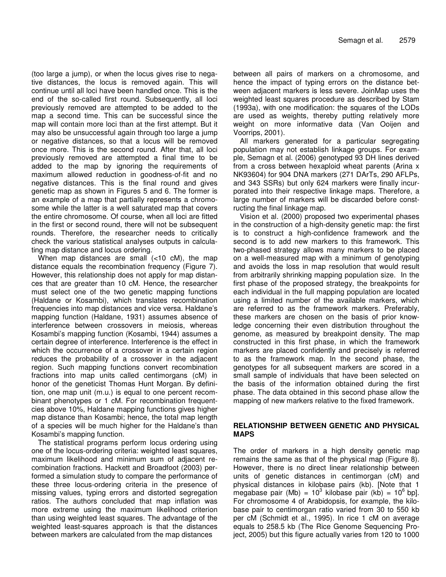(too large a jump), or when the locus gives rise to negative distances, the locus is removed again. This will continue until all loci have been handled once. This is the end of the so-called first round. Subsequently, all loci previously removed are attempted to be added to the map a second time. This can be successful since the map will contain more loci than at the first attempt. But it may also be unsuccessful again through too large a jump or negative distances, so that a locus will be removed once more. This is the second round. After that, all loci previously removed are attempted a final time to be added to the map by ignoring the requirements of maximum allowed reduction in goodness-of-fit and no negative distances. This is the final round and gives genetic map as shown in Figures 5 and 6. The former is an example of a map that partially represents a chromosome while the latter is a well saturated map that covers the entire chromosome. Of course, when all loci are fitted in the first or second round, there will not be subsequent rounds. Therefore, the researcher needs to critically check the various statistical analyses outputs in calculating map distance and locus ordering.

When map distances are small (<10 cM), the map distance equals the recombination frequency (Figure 7). However, this relationship does not apply for map distances that are greater than 10 cM. Hence, the researcher must select one of the two genetic mapping functions (Haldane or Kosambi), which translates recombination frequencies into map distances and vice versa. Haldane's mapping function (Haldane, 1931) assumes absence of interference between crossovers in meiosis, whereas Kosambi's mapping function (Kosambi, 1944) assumes a certain degree of interference. Interference is the effect in which the occurrence of a crossover in a certain region reduces the probability of a crossover in the adjacent region. Such mapping functions convert recombination fractions into map units called centimorgans (cM) in honor of the geneticist Thomas Hunt Morgan. By definition, one map unit (m.u.) is equal to one percent recombinant phenotypes or 1 cM. For recombination frequentcies above 10%, Haldane mapping functions gives higher map distance than Kosambi; hence, the total map length of a species will be much higher for the Haldane's than Kosambi's mapping function.

The statistical programs perform locus ordering using one of the locus-ordering criteria: weighted least squares, maximum likelihood and minimum sum of adjacent recombination fractions. Hackett and Broadfoot (2003) performed a simulation study to compare the performance of these three locus-ordering criteria in the presence of missing values, typing errors and distorted segregation ratios. The authors concluded that map inflation was more extreme using the maximum likelihood criterion than using weighted least squares. The advantage of the weighted least-squares approach is that the distances between markers are calculated from the map distances

between all pairs of markers on a chromosome, and hence the impact of typing errors on the distance between adjacent markers is less severe. JoinMap uses the weighted least squares procedure as described by Stam (1993a), with one modification: the squares of the LODs are used as weights, thereby putting relatively more weight on more informative data (Van Ooijen and Voorrips, 2001).

All markers generated for a particular segregating population may not establish linkage groups. For example, Semagn et al. (2006) genotyped 93 DH lines derived from a cross between hexaploid wheat parents (Arina x NK93604) for 904 DNA markers (271 DArTs, 290 AFLPs, and 343 SSRs) but only 624 markers were finally incurporated into their respective linkage maps. Therefore, a large number of markers will be discarded before constructing the final linkage map.

Vision et al. (2000) proposed two experimental phases in the construction of a high-density genetic map: the first is to construct a high-confidence framework and the second is to add new markers to this framework. This two-phased strategy allows many markers to be placed on a well-measured map with a minimum of genotyping and avoids the loss in map resolution that would result from arbitrarily shrinking mapping population size. In the first phase of the proposed strategy, the breakpoints for each individual in the full mapping population are located using a limited number of the available markers, which are referred to as the framework markers. Preferably, these markers are chosen on the basis of prior knowledge concerning their even distribution throughout the genome, as measured by breakpoint density. The map constructed in this first phase, in which the framework markers are placed confidently and precisely is referred to as the framework map. In the second phase, the genotypes for all subsequent markers are scored in a small sample of individuals that have been selected on the basis of the information obtained during the first phase. The data obtained in this second phase allow the mapping of new markers relative to the fixed framework.

# **RELATIONSHIP BETWEEN GENETIC AND PHYSICAL MAPS**

The order of markers in a high density genetic map remains the same as that of the physical map (Figure 8). However, there is no direct linear relationship between units of genetic distances in centimorgan (cM) and physical distances in kilobase pairs (kb). [Note that 1 megabase pair (Mb) = 10<sup>3</sup> kilobase pair (kb) = 10<sup>6</sup> bp]. For chromosome 4 of Arabidopsis, for example, the kilobase pair to centimorgan ratio varied from 30 to 550 kb per cM (Schmidt et al., 1995). In rice 1 cM on average equals to 258.5 kb (The Rice Genome Sequencing Project, 2005) but this figure actually varies from 120 to 1000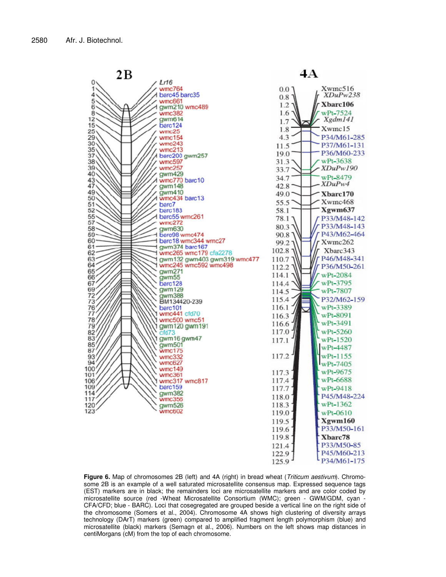

**Figure 6.** Map of chromosomes 2B (left) and 4A (right) in bread wheat (*Triticum aestivum*). Chromosome 2B is an example of a well saturated microsatellite consensus map. Expressed sequence tags (EST) markers are in black; the remainders loci are microsatellite markers and are color coded by microsatellite source (red -Wheat Microsatellite Consortium (WMC); green - GWM/GDM, cyan - CFA/CFD; blue - BARC). Loci that cosegregated are grouped beside a vertical line on the right side of the chromosome (Somers et al., 2004). Chromosome 4A shows high clustering of diversity arrays technology (DArT) markers (green) compared to amplified fragment length polymorphism (blue) and microsatellite (black) markers (Semagn et al., 2006). Numbers on the left shows map distances in centiMorgans (cM) from the top of each chromosome.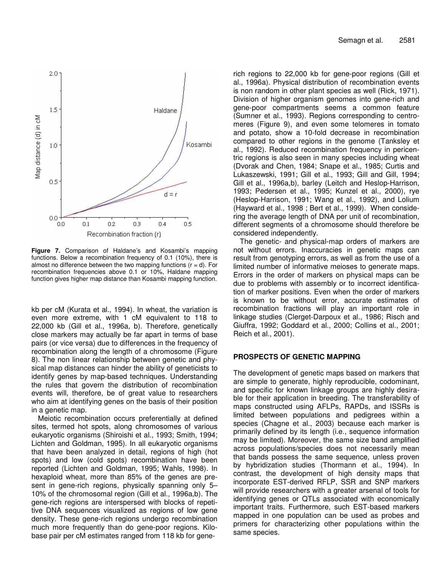

**Figure 7.** Comparison of Haldane's and Kosambi's mapping functions. Below a recombination frequency of 0.1 (10%), there is almost no difference between the two mapping functions  $(r = d)$ . For recombination frequencies above 0.1 or 10%, Haldane mapping function gives higher map distance than Kosambi mapping function.

kb per cM (Kurata et al., 1994). In wheat, the variation is even more extreme, with 1 cM equivalent to 118 to 22,000 kb (Gill et al., 1996a, b). Therefore, genetically close markers may actually be far apart in terms of base pairs (or vice versa) due to differences in the frequency of recombination along the length of a chromosome (Figure 8). The non linear relationship between genetic and physical map distances can hinder the ability of geneticists to identify genes by map-based techniques. Understanding the rules that govern the distribution of recombination events will, therefore, be of great value to researchers who aim at identifying genes on the basis of their position in a genetic map.

Meiotic recombination occurs preferentially at defined sites, termed hot spots, along chromosomes of various eukaryotic organisms (Shiroishi et al., 1993; Smith, 1994; Lichten and Goldman, 1995). In all eukaryotic organisms that have been analyzed in detail, regions of high (hot spots) and low (cold spots) recombination have been reported (Lichten and Goldman, 1995; Wahls, 1998). In hexaploid wheat, more than 85% of the genes are present in gene-rich regions, physically spanning only 5– 10% of the chromosomal region (Gill et al., 1996a,b). The gene-rich regions are interspersed with blocks of repetitive DNA sequences visualized as regions of low gene density. These gene-rich regions undergo recombination much more frequently than do gene-poor regions. Kilobase pair per cM estimates ranged from 118 kb for generich regions to 22,000 kb for gene-poor regions (Gill et al., 1996a). Physical distribution of recombination events is non random in other plant species as well (Rick, 1971). Division of higher organism genomes into gene-rich and gene-poor compartments seems a common feature (Sumner et al., 1993). Regions corresponding to centromeres (Figure 9), and even some telomeres in tomato and potato, show a 10-fold decrease in recombination compared to other regions in the genome (Tanksley et al., 1992). Reduced recombination frequency in pericentric regions is also seen in many species including wheat (Dvorak and Chen, 1984; Snape et al., 1985; Curtis and Lukaszewski, 1991; Gill et al., 1993; Gill and Gill, 1994; Gill et al., 1996a,b), barley (Leitch and Heslop-Harrison, 1993; Pedersen et al., 1995; Kunzel et al., 2000), rye (Heslop-Harrison, 1991; Wang et al., 1992), and Lolium (Hayward et al., 1998 ; Bert et al., 1999). When considering the average length of DNA per unit of recombination, different segments of a chromosome should therefore be considered independently.

The genetic- and physical-map orders of markers are not without errors. Inaccuracies in genetic maps can result from genotyping errors, as well as from the use of a limited number of informative meioses to generate maps. Errors in the order of markers on physical maps can be due to problems with assembly or to incorrect identification of marker positions. Even when the order of markers is known to be without error, accurate estimates of recombination fractions will play an important role in linkage studies (Clerget-Darpoux et al., 1986; Risch and Giuffra, 1992; Goddard et al., 2000; Collins et al., 2001; Reich et al., 2001).

# **PROSPECTS OF GENETIC MAPPING**

The development of genetic maps based on markers that are simple to generate, highly reproducible, codominant, and specific for known linkage groups are highly desirable for their application in breeding. The transferability of maps constructed using AFLPs, RAPDs, and ISSRs is limited between populations and pedigrees within a species (Chagne et al., 2003) because each marker is primarily defined by its length (i.e., sequence information may be limited). Moreover, the same size band amplified across populations/species does not necessarily mean that bands possess the same sequence, unless proven by hybridization studies (Thormann et al., 1994). In contrast, the development of high density maps that incorporate EST-derived RFLP, SSR and SNP markers will provide researchers with a greater arsenal of tools for identifying genes or QTLs associated with economically important traits. Furthermore, such EST-based markers mapped in one population can be used as probes and primers for characterizing other populations within the same species.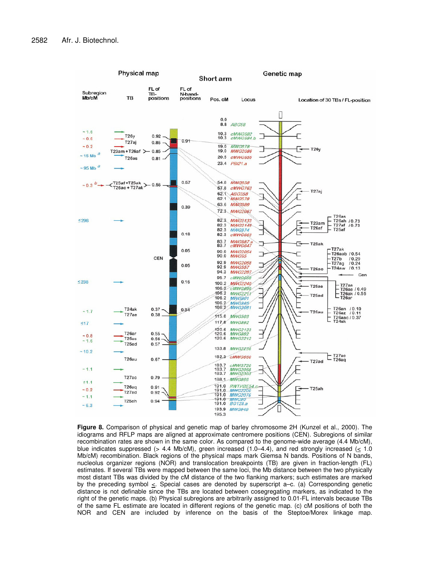

**Figure 8.** Comparison of physical and genetic map of barley chromosome 2H (Kunzel et al., 2000). The idiograms and RFLP maps are aligned at approximate centromere positions (CEN). Subregions of similar recombination rates are shown in the same color. As compared to the genome-wide average (4.4 Mb/cM), blue indicates suppressed (> 4.4 Mb/cM), green increased (1.0–4.4), and red strongly increased ( $\leq$  1.0 Mb/cM) recombination. Black regions of the physical maps mark Giemsa N bands. Positions of N bands, nucleolus organizer regions (NOR) and translocation breakpoints (TB) are given in fraction-length (FL) estimates. If several TBs were mapped between the same loci, the Mb distance between the two physically most distant TBs was divided by the cM distance of the two flanking markers; such estimates are marked by the preceding symbol  $\leq$ . Special cases are denoted by superscript a–c. (a) Corresponding genetic distance is not definable since the TBs are located between cosegregating markers, as indicated to the right of the genetic maps. (b) Physical subregions are arbitrarily assigned to 0.01-FL intervals because TBs of the same FL estimate are located in different regions of the genetic map. (c) cM positions of both the NOR and CEN are included by inference on the basis of the Steptoe/Morex linkage map.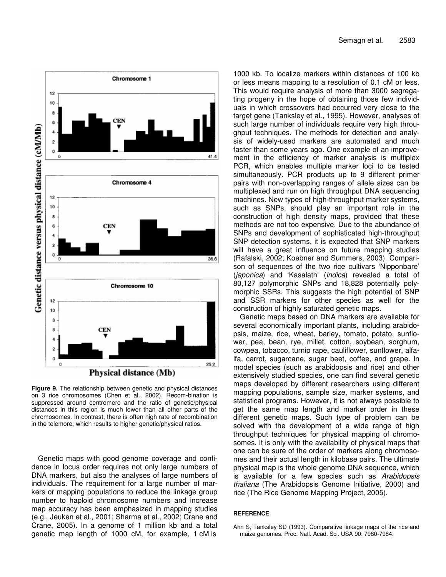

**Figure 9.** The relationship between genetic and physical distances on 3 rice chromosomes (Chen et al., 2002). Recom-bination is suppressed around centromere and the ratio of genetic/physical distances in this region is much lower than all other parts of the chromosomes. In contrast, there is often high rate of recombination in the telemore, which results to higher genetic/physical ratios.

Genetic maps with good genome coverage and confidence in locus order requires not only large numbers of DNA markers, but also the analyses of large numbers of individuals. The requirement for a large number of markers or mapping populations to reduce the linkage group number to haploid chromosome numbers and increase map accuracy has been emphasized in mapping studies (e.g., Jeuken et al., 2001; Sharma et al., 2002; Crane and Crane, 2005). In a genome of 1 million kb and a total genetic map length of 1000 cM, for example, 1 cM is

1000 kb. To localize markers within distances of 100 kb or less means mapping to a resolution of 0.1 cM or less. This would require analysis of more than 3000 segregating progeny in the hope of obtaining those few individuals in which crossovers had occurred very close to the target gene (Tanksley et al., 1995). However, analyses of such large number of individuals require very high throughput techniques. The methods for detection and analysis of widely-used markers are automated and much faster than some years ago. One example of an improvement in the efficiency of marker analysis is multiplex PCR, which enables multiple marker loci to be tested simultaneously. PCR products up to 9 different primer pairs with non-overlapping ranges of allele sizes can be multiplexed and run on high throughput DNA sequencing machines. New types of high-throughput marker systems, such as SNPs, should play an important role in the construction of high density maps, provided that these methods are not too expensive. Due to the abundance of SNPs and development of sophisticated high-throughput SNP detection systems, it is expected that SNP markers will have a great influence on future mapping studies (Rafalski, 2002; Koebner and Summers, 2003). Comparison of sequences of the two rice cultivars 'Nipponbare' (*japonica*) and 'Kasalath' (*indica*) revealed a total of 80,127 polymorphic SNPs and 18,828 potentially polymorphic SSRs. This suggests the high potential of SNP and SSR markers for other species as well for the construction of highly saturated genetic maps.

Genetic maps based on DNA markers are available for several economically important plants, including arabidopsis, maize, rice, wheat, barley, tomato, potato, sunflower, pea, bean, rye, millet, cotton, soybean, sorghum, cowpea, tobacco, turnip rape, cauliflower, sunflower, alfalfa, carrot, sugarcane, sugar beet, coffee, and grape. In model species (such as arabidopsis and rice) and other extensively studied species, one can find several genetic maps developed by different researchers using different mapping populations, sample size, marker systems, and statistical programs. However, it is not always possible to get the same map length and marker order in these different genetic maps. Such type of problem can be solved with the development of a wide range of high throughput techniques for physical mapping of chromosomes. It is only with the availability of physical maps that one can be sure of the order of markers along chromosomes and their actual length in kilobase pairs. The ultimate physical map is the whole genome DNA sequence, which is available for a few species such as *Arabidopsis thaliana* (The Arabidopsis Genome Initiative, 2000) and rice (The Rice Genome Mapping Project, 2005).

#### **REFERENCE**

Ahn S, Tanksley SD (1993). Comparative linkage maps of the rice and maize genomes. Proc. Natl. Acad. Sci. USA 90: 7980-7984.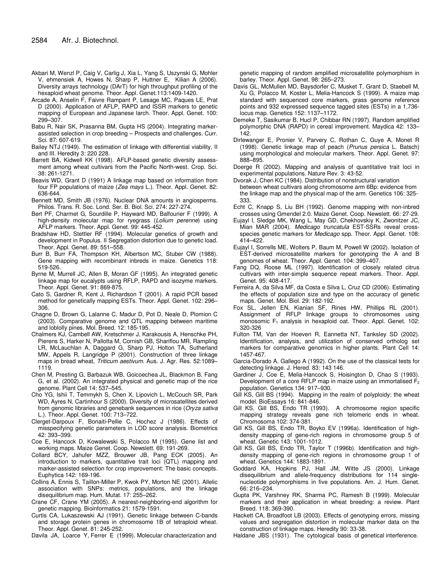- Akbari M, Wenzl P, Caig V, Carlig J, Xia L, Yang S, Uszynski G, Mohler V, ehmensiek A, Howes N, Sharp P, Huttner E, Kilian A (2006). Diversity arrays technology (DArT) for high throughput profiling of the hexaploid wheat genome. Theor. Appl. Genet.113:1409-1420.
- Arcade A, Anselin F, Faivre Rampant P, Lesage MC, Paques LE, Prat D (2000). Application of AFLP, RAPD and ISSR markers to genetic mapping of European and Japanese larch. Theor. Appl. Genet. 100: 299–307.
- Babu R, Nair SK, Prasanna BM, Gupta HS (2004). Integrating markerassisted selection in crop breeding – Prospects and challenges. Curr. Sci. 87: 607-619.
- Bailey NTJ (1949). The estimation of linkage with differential viability, II and III. Heredity 3: 220 228.
- Barrett BA, Kidwell KK (1998). AFLP-based genetic diversity assessment among wheat cultivars from the Pacific North-west. Crop. Sci. 38: 261-1271.
- Beavis WD, Grant D (1991) A linkage map based on information from four FP populations of maize (*Zea mays* L.). Theor. Appl. Genet. 82: 636-644.
- Bennett MD, Smith JB (1976). Nuclear DNA amounts in angiosperms. Philos. Trans. R. Soc. Lond. Ser. B. Biol. Sci. 274: 227-274.
- Bert PF, Charmet G, Sourdille P, Hayward MD, Balfourier F (1999). A high-density molecular map for ryegrass (*Lolium perenne*) using AFLP markers. Theor. Appl. Genet. 99: 445-452.
- Bradshaw HD, Stettler RF (1994). Molecular genetics of growth and development in Populus. Il Segregation distortion due to genetic load. Theor. Appl. Genet. 89: 551–558.
- Burr B, Burr FA, Thompson KH, Albertson MC, Stuber CW (1988). Gene mapping with recombinant inbreds in maize. Genetics 118: 519-526.
- Byrne M, Murrell JC, Allen B, Moran GF (1995). An integrated genetic linkage map for eucalypts using RFLP, RAPD and isozyme markers. Theor. Appl. Genet. 91: 869-875.
- Cato S, Gardner R, Kent J, Richardson T (2001). A rapid PCR based method for genetically mapping ESTs. Theor. Appl. Genet. 102: 296– 306.
- Chagne D, Brown G, Lalanne C, Madur D, Pot D, Neale D, Plomion C (2003). Comparative genome and QTL mapping between maritime and loblolly pines. Mol. Breed. 12: 185-195.
- Chalmers KJ, Cambell AW, Kretschmer J, Karakousis A, Henschke PH, Pierens S, Harker N, Pallotta M, Cornish GB, Shariflou MR, Rampling LR, McLauchlan A, Daggard G, Sharp PJ, Holton TA, Sutherland MW, Appels R, Langridge P (2001). Construction of three linkage maps in bread wheat, *Triticum aestivum*. Aus. J. Agr. Res. 52:1089– 1119.
- Chen M, Presting G, Barbazuk WB, Goicoechea JL, Blackmon B, Fang G, et al. (2002). An integrated physical and genetic map of the rice genome. Plant Cell 14: 537–545.
- Cho YG, Ishii T, Temmykh S, Chen X, Lipovich L, McCouch SR, Park WD, Ayres N, Cartinhour S (2000). Diversity of microsatellites derived from genomic libraries and genebank sequences in rice (*Oryza sativa* L.). Theor. Appl. Genet. 100: 713–722.
- Clerget-Darpoux F, Bonaiti-Pellie C, Hochez J (1986). Effects of misspecifying genetic parameters in LOD score analysis. Biometrics 42: 393–399.
- Coe E, Hancock D, Kowalewski S, Polacco M (1995). Gene list and working maps. Maize Genet. Coop. Newslett. 69: 191-269.
- Collard BCY, Jahufer MZZ, Brouwer JB, Pang ECK (2005). An introduction to markers, quantitative trait loci (QTL) mapping and marker-assisted selection for crop improvement: The basic concepts. Euphytica 142: 169-196.
- Collins A, Ennis S, Taillon-Miller P, Kwok PY, Morton NE (2001). Allelic association with SNPs: metrics, populations, and the linkage disequilibrium map. Hum. Mutat. 17: 255–262.
- Crane CF, Crane YM (2005). A nearest-neighboring-end algorithm for genetic mapping. Bioinformatics 21: 1579-1591.
- Curtis CA, Lukaszewski AJ (1991). Genetic linkage between C-bands and storage protein genes in chromosome 1B of tetraploid wheat. Theor. Appl. Genet. 81: 245-252.

Davila JA, Loarce Y, Ferrer E (1999). Molecular characterization and

genetic mapping of random amplified microsatellite polymorphism in barley. Theor. Appl. Genet. 98: 265–273.

- Davis GL, McMullen MD, Baysdorfer C, Musket T, Grant D, Staebell M, Xu G, Polacco M, Koster L, Melia-Hancock S (1999). A maize map standard with sequenced core markers, grass genome reference points and 932 expressed sequence tagged sites (ESTs) in a 1,736 locus map. Genetics 152: 1137–1172.
- Demeke T, Sasikumar B, Hucl P, Chibbar RN (1997). Random amplified polymorphic DNA (RAPD) in cereal improvement. Maydica 42: 133– 142.
- Dirlewanger E, Pronier V, Parvery C, Rothan C, Guye A, Monet R (1998). Genetic linkage map of peach (*Prunus persica* L. Batsch) using morphological and molecular markers. Theor. Appl. Genet. 97: 888–895.
- Doerge R (2002). Mapping and analysis of quantitative trait loci in experimental populations. Nature Rev. 3: 43-52.
- Dvorak J, Chen KC (1984). Distribution of nonstructural variation between wheat cultivars along chromosome arm 6Bp: evidence from the linkage map and the physical map of the arm. Genetics 106: 325- 333.
- Echt C, Knapp S, Liu BH (1992). Genome mapping with non-inbred crosses using Gmendel 2.0. Maize Genet. Coop. Newslett. 66: 27-29.
- Eujayl I, Sledge MK, Wang L, May GD, Chekhovskiy K, Zwonitzer JC, Mian MAR (2004). *Medicago truncatula* EST-SSRs reveal crossspecies genetic markers for *Medicago* spp. Theor. Appl. Genet. 108: 414–422.
- Eujayl I, Sorrells ME, Wolters P, Baum M, Powell W (2002). Isolation of EST-derived microsatellite markers for genotyping the A and B genomes of wheat. Theor. Appl. Genet. 104: 399–407.
- Fang DQ, Roose ML (1997). Identification of closely related citrus cultivars with inter-simple sequence repeat markers. Theor. Appl. Genet. 95: 408-417.
- Ferreira A, da Silva MF, da Costa e Silva L, Cruz CD (2006). Estimating the effects of population size and type on the accuracy of genetic maps. Genet. Mol. Biol. 29: 182-192.
- Fox SL, Jellen EN, Kianian SF, Rines HW, Phillips RL (2001). Assignment of RFLP linkage groups to chromosomes using monosomic F<sub>1</sub> analysis in hexaploid oat. Theor. Appl. Genet. 102: 320-326
- Fulton TM, Van der Hoeven R, Eannetta NT, Tanksley SD (2002). Identification, analysis, and utilization of conserved ortholog set markers for comparative genomics in higher plants. Plant Cell 14: 1457-467.
- Garcia-Dorado A, Gallego A (1992). On the use of the classical tests for detecting linkage. J. Hered. 83: 143 146.
- Gardiner J, Coe E, Melia-Hancock S, Hoisington D, Chao S (1993). Development of a core RFLP map in maize using an immortalised F<sub>2</sub> population. Genetics 134: 917–930.
- Gill KS, Gill BS (1994). Mapping in the realm of polyploidy: the wheat model. BioEssays 16: 841-846.
- Gill KS, Gill BS, Endo TR (1993). A chromosome region specific mapping strategy reveals gene rich telomeric ends in wheat. Chromosoma 102: 374-381.
- Gill KS, Gill BS, Endo TR, Boyko EV (1996a). Identification of highdensity mapping of gene-rich regions in chromosome group 5 of wheat. Genetic 143: 1001-1012.
- Gill KS, Gill BS, Endo TR, Taylor T (1996b). Identification and highdensity mapping of gene-rich regions in chromosome group 1 of wheat. Genetics 144: 1883-1891.
- Goddard KA, Hopkins PJ, Hall JM, Witte JS (2000). Linkage disequilibrium and allele-frequency distributions for 114 singlenucleotide polymorphisms in five populations. Am. J. Hum. Genet. 66: 216–234.
- Gupta PK, Varshney RK, Sharma PC, Ramesh B (1999). Molecular markers and their application in wheat breeding: a review. Plant Breed. 118: 369-390.
- Hackett CA, Broadfoot LB (2003). Effects of genotyping errors, missing values and segregation distortion in molecular marker data on the construction of linkage maps. Heredity 90: 33-38.
- Haldane JBS (1931). The cytological basis of genetical interference.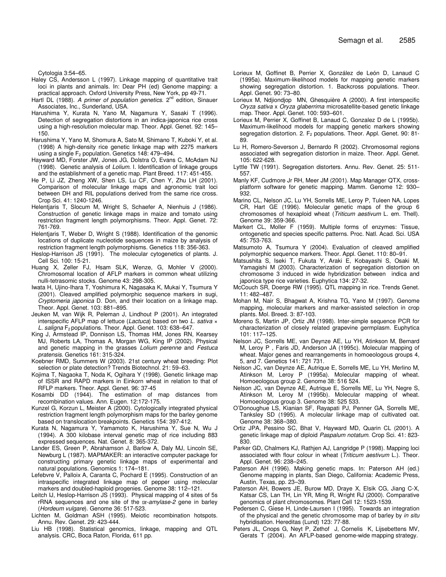Cytologia 3:54–65.

- Haley CS, Andersson L (1997). Linkage mapping of quantitative trait loci in plants and animals. In: Dear PH (ed) Genome mapping: a practical approach. Oxford University Press, New York, pp 49-71.
- Hartl DL (1988). A primer of population genetics. 2<sup>nd</sup> edition, Sinauer Associates, Inc., Sunderland, USA.
- Harushima Y, Kurata N, Yano M, Nagamura Y, Sasaki T (1996). Detection of segregation distortions in an indica-japonica rice cross using a high-resolution molecular map. Theor. Appl. Genet. 92: 145– 150.
- Harushima Y, Yano M, Shomura A, Sato M, Shimano T, Kuboki Y, et al. (1998) A high-density rice genetic linkage map with 2275 markers using a single  $F_2$  population. Genetics 148: 479–494.
- Hayward MD, Forster JW, Jones JG, Dolstra O, Evans C, McAdam NJ (1998). Genetic analysis of *Lolium*. I. Identification of linkage groups and the establishment of a genetic map. Plant Breed. 117: 451-455.
- He P, Li JZ, Zheng XW, Shen LS, Lu CF, Chen Y, Zhu LH (2001). Comparison of molecular linkage maps and agronomic trait loci between DH and RIL populations derived from the same rice cross. Crop Sci. 41: 1240-1246.
- Helentjaris T, Slocum M, Wright S, Schaefer A, Nienhuis J (1986). Construction of genetic linkage maps in maize and tomato using restriction fragment length polymorphisms. Theor. Appl. Genet. 72: 761-769.
- Helentjaris T, Weber D, Wright S (1988). Identification of the genomic locations of duplicate nucleotide sequences in maize by analysis of restriction fragment length polymorphisms. Genetics 118: 356-363.
- Heslop-Harrison JS (1991). The molecular cytogenetics of plants. J. Cell Sci. 100: 15-21.
- Huang X, Zeller FJ, Hsam SLK, Wenze, G, Mohler V (2000). Chromosomal location of AFLP markers in common wheat utilizing nulli-tetrasomic stocks. Genome 43: 298-305.
- Iwata H, Ujino-Ihara T, Yoshimura K, Nagasaka K, Mukai Y, Tsumura Y (2001). Cleaved amplified polymorphic sequence markers in sugi, *Cryptomeria japonica* D. Don, and their location on a linkage map. Theor. Appl. Genet. 103: 881–895.
- Jeuken M, van Wijk R, Peleman J, Lindhout P (2001). An integrated interspecific AFLP map of lettuce (*Lactuca*) based on two *L. sativa* × L. saligna F<sub>2</sub> populations. Theor. Appl. Genet. 103: 638–647.
- King J, Armstead IP, Donnison LS, Thomas HM, Jones RN, Kearsey MJ, Roberts LA, Thomas A, Morgan WG, King IP (2002). Physical and genetic mapping in the grasses *Lolium perenne* and *Festuca pratensis*. Genetics 161: 315-324.
- Koebner RMD, Summers W (2003). 21st century wheat breeding: Plot selection or plate detection? Trends Biotechnol. 21: 59–63.
- Kojima T, Nagaoka T, Noda K, Ogihara Y (1998). Genetic linkage map of ISSR and RAPD markers in Einkorn wheat in relation to that of RFLP markers. Theor. Appl. Genet. 96: 37-45
- Kosambi DD (1944). The estimation of map distances from recombination values. Ann. Eugen. 12:172-175.
- Kunzel G, Korzun L, Meister A (2000). Cytologically integrated physical restriction fragment length polymorphism maps for the barley genome based on translocation breakpoints. Genetics 154: 397-412.
- Kurata N, Nagamura Y, Yamamoto K, Harushima Y, Sue N, Wu J (1994). A 300 kilobase interval genetic map of rice including 883 expressed sequences. Nat. Genet. 8: 365-372.
- Lander ES, Green P, Abrahamson J, Barlow A, Daly MJ, Lincoln SE, Newburg L (1987). MAPMAKER: an interactive computer package for constructing primary genetic linkage maps of experimental and natural populations. Genomics 1: 174–181.
- Lefebvre V, Palloix A, Caranta C, Pochard E (1995). Construction of an intraspecific integrated linkage map of pepper using molecular markers and doubled-haploid progenies. Genome 38: 112–121.
- Leitch IJ, Heslop-Harrison JS (1993). Physical mapping of 4 sites of 5s rRNA sequences and one site of the *amylase-2* gene in barley (*Hordeum vulgare*). Genome 36: 517-523.
- Lichten M, Goldman ASH (1995). Meiotic recombination hotspots. Annu. Rev. Genet. 29: 423-444.
- Liu HB (1998). Statistical genomics, linkage, mapping and QTL analysis. CRC, Boca Raton, Florida, 611 pp.
- Lorieux M, Goffinet B, Perrier X, González de León D, Lanaud C (1995a). Maximum-likelihood models for mapping genetic markers showing segregation distortion. 1. Backcross populations. Theor. Appl. Genet. 90: 73–80.
- Lorieux M, Ndjiondjop MN, Ghesquière A (2000). A first interspecific *Oryza sativa* x *Oryza glaberrima* microsatellite-based genetic linkage map. Theor. Appl. Genet. 100: 593–601.
- Lorieux M, Perrier X, Goffinet B, Lanaud C, Gonzalez D de L (1995b). Maximum-likelihood models for mapping genetic markers showing segregation distortion. 2.  $F_2$  populations. Theor. Appl. Genet. 90: 81-89.
- Lu H, Romero-Severson J, Bernardo R (2002). Chromosomal regions associated with segregation distortion in maize. Theor. Appl. Genet. 105: 622-628.
- Lyttle TW (1991). Segregation distorters. Annu. Rev. Genet. 25: 511- 557.
- Manly KF, Cudmore Jr RH, Meer JM (2001). Map Manager QTX, crossplatform software for genetic mapping. Mamm. Genome 12: 930– 932.
- Marino CL, Nelson JC, Lu YH, Sorrells ME, Leroy P, Tuleen NA, Lopes CR, Hart GE (1996). Molecular genetic maps of the group 6 chromosomes of hexaploid wheat (*Triticum aestivum* L. em. Thell). Genome 39: 359-366.
- Markert CL, Moller F (1959). Multiple forms of enzymes: Tissue, ontogenetic and species specific patterns. Proc. Natl. Acad. Sci. USA 45: 753-763.
- Matsumoto A, Tsumura Y (2004). Evaluation of cleaved amplified polymorphic sequence markers. Theor. Appl. Genet. 110: 80–91.
- Matsushita S, Iseki T, Fukuta Y, Araki E, Kobayashi S, Osaki M, Yamagishi M (2003). Characterization of segregation distortion on chromosome 3 induced in wide hybridization between indica and japonica type rice varieties. Euphytica 134: 27-32.
- McCouch SR, Doerge RW (1995). QTL mapping in rice. Trends Genet. 11: 482–487.
- Mohan M, Nair S, Bhagwat A, Krishna TG, Yano M (1997). Genome mapping, molecular markers and marker-assisted selection in crop plants. Mol. Breed. 3: 87-103.
- Moreno S, Martin JP, Ortiz JM (1998). Inter-simple sequence PCR for characterization of closely related grapevine germplasm. Euphytica 101: 117–125.
- Nelson JC, Sorrells ME, van Deynze AE, Lu YH, Atinkson M, Bernard M, Leroy P , Faris JD, Anderson JA (1995c). Molecular mapping of wheat. Major genes and rearrangements in homoeologous groups 4, 5, and 7. Genetics 141: 721 731.
- Nelson JC, van Deynze AE, Autrique E, Sorrells ME, Lu YH, Merlino M, Atinkson M, Leroy P (1995a). Molecular mapping of wheat. Homoeologous group 2. Genome 38: 516 524.
- Nelson JC, van Deynze AE, Autrique E, Sorrells ME, Lu YH, Negre S, Atinkson M, Leroy M (1995b). Molecular mapping of wheat. Homoeologous group 3. Genome 38: 525 533.
- O'Donoughue LS, Kianian SF, Rayapati PJ, Penner GA, Sorrells ME, Tanksley SD (1995). A molecular linkage map of cultivated oat. Genome 38: 368–380.
- Ortiz JPA, Pessino SC, Bhat V, Hayward MD, Quarin CL (2001). A genetic linkage map of diploid *Paspalum notatum*. Crop Sci. 41: 823- 830.
- Parker GD, Chalmers KJ, Rathjen AJ, Langridge P (1998). Mapping loci associated with flour colour in wheat (*Triticum aestivum* L.). Theor. Appl. Genet. 96: 238–245.
- Paterson AH (1996). Making genetic maps. In: Paterson AH (ed.) Genome mapping in plants, San Diego, California: Academic Press, Austin, Texas, pp. 23–39.
- Paterson AH, Bowers JE, Burow MD, Draye X, Elsik CG, Jiang C-X, Katsar CS, Lan TH, Lin YR, Ming R, Wright RJ (2000). Comparative genomics of plant chromosomes. Plant Cell 12: 1523-1539.
- Pedersen C, Giese H, Linde-Laursen I (1995). Towards an integration of the physical and the genetic chromosome map of barley by *in situ* hybridisation. Hereditas (Lund) 123: 77-88.
- Peters JL, Cnops G, Neyt P, Zethof J, Cornelis K, Lijsebettens MV, Gerats T (2004). An AFLP-based genome-wide mapping strategy.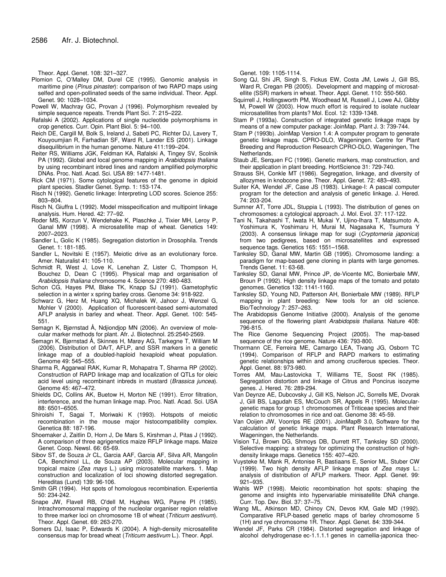Theor. Appl. Genet. 108: 321–327.

- Plomion C, O'Malley DM, Durel CE (1995). Genomic analysis in maritime pine (*Pinus pinaster*): comparison of two RAPD maps using selfed and open-pollinated seeds of the same individual. Theor. Appl. Genet. 90: 1028–1034.
- Powell W, Machray GC, Provan J (1996). Polymorphism revealed by simple sequence repeats. Trends Plant Sci. 7: 215–222.
- Rafalski A (2002). Applications of single nucleotide polymorphisms in crop genetics. Curr. Opin. Plant Biol. 5: 94–100.
- Reich DE, Cargill M, Bolk S, Ireland J, Sabeti PC, Richter DJ, Lavery T, Kouyoumjian R, Farhadian SF, Ward R, Lander ES (2001). Linkage disequilibrium in the human genome. Nature 411:199–204.
- Reiter RS, Williams JGK, Feldman KA, Rafalski A, Tingey SV, Scolnik PA (1992). Global and local genome mapping in *Arabidopsis thaliana* by using recombinant inbred lines and random amplified polymorphic DNAs. Proc. Natl. Acad. Sci. USA 89: 1477-1481.
- Rick CM (1971). Some cytological features of the genome in diploid plant species. Stadler Genet. Symp. 1: 153-174.
- Risch N (1992). Genetic linkage: Interpreting LOD scores. Science 255: 803–804.
- Risch N, Giuffra L (1992). Model misspecification and multipoint linkage analysis. Hum. Hered. 42: 77–92.
- Roder MS, Korzun V, Wendehake K, Plaschke J, Tixier MH, Leroy P, Ganal MW (1998). A microsatellite map of wheat. Genetics 149: 2007–2023.
- Sandler L, Golic K (1985). Segregation distortion in Drosophila. Trends Genet. 1: 181-185.
- Sandler L, Novitski E (1957). Meiotic drive as an evolutionary force. Amer. Naturalist 41: 105-110.
- Schmidt R, West J, Love K, Lenehan Z, Lister C, Thompson H, Bouchez D, Dean C (1995). Physical map and organisation of *Arabidopsis thaliana* chromosome 4. Science 270: 480-483.
- Schon CG, Hayes PM, Blake TK, Knapp SJ (1991). Gametophytic selection in a winter x spring barley cross. Genome 34: 918-922.
- Schwarz G, Herz M, Huang XQ, Michalek W, Jahoor J, Wenzel G, Mohler V (2000). Application of fluorescent-based semi-automated AFLP analysis in barley and wheat. Theor. Appl. Genet. 100: 545- 551.
- Semagn K, Bjørnstad Å, Ndjiondjop MN (2006). An overview of molecular marker methods for plant. Afr. J. Biotechnol. 25:2540-2569.
- Semagn K, Bjørnstad Å, Skinnes H, Marøy AG, Tarkegne T, William M (2006). Distribution of DArT, AFLP, and SSR markers in a genetic linkage map of a doubled-haploid hexaploid wheat population. Genome 49: 545–555.
- Sharma R, Aggarwal RAK, Kumar R, Mohapatra T, Sharma RP (2002). Construction of RAPD linkage map and localization of QTLs for oleic acid level using recombinant inbreds in mustard (*Brassica juncea*). Genome 45: 467–472.
- Shields DC, Collins AK, Buetow H, Morton NE (1991). Error filtration, interference, and the human linkage map. Proc. Natl. Acad. Sci. USA 88: 6501–6505.
- Shiroishi T, Sagai T, Moriwaki K (1993). Hotspots of meiotic recombination in the mouse major histocompatibility complex. Genetica 88: 187-196.
- Shoemaker J, Zaitlin D, Horn J, De Mars S, Kirshman J, Pitas J (1992). A comparison of three agrigenetics maize RFLP linkage maps. Maize Genet. Coop. Newsl. 66: 65-69.
- Sibov ST, de Souza Jr CL, Garcia AAF, Garcia AF, Silva AR, Mangolin CA, Benchimol LL, de Souza AP (2003). Molecular mapping in tropical maize (*Zea mays* L.) using microsatellite markers. 1. Map construction and localization of loci showing distorted segregation. Hereditas (Lund) 139: 96-106.
- Smith GR (1994). Hot spots of homologous recombination. Experientia 50: 234-242.
- Snape JW, Flavell RB, O'dell M, Hughes WG, Payne PI (1985). Intrachromosomal mapping of the nucleolar organiser region relative to three marker loci on chromosome 1B of wheat (*Triticum aestivum*). Theor. Appl. Genet. 69: 263-270.
- Somers DJ, Isaac P, Edwards K (2004). A high-density microsatellite consensus map for bread wheat (*Triticum aestivum* L.). Theor. Appl.

Genet. 109: 1105-1114.

- Song QJ, Shi JR, Singh S, Fickus EW, Costa JM, Lewis J, Gill BS, Ward R, Cregan PB (2005). Development and mapping of microsatellite (SSR) markers in wheat. Theor. Appl. Genet. 110: 550-560.
- Squirrell J, Hollingsworth PM, Woodhead M, Russell J, Lowe AJ, Gibby M, Powell W (2003). How much effort is required to isolate nuclear microsatellites from plants? Mol. Ecol. 12: 1339-1348.
- Stam P (1993a). Construction of integrated genetic linkage maps by means of a new computer package: JoinMap. Plant J. 3: 739-744.
- Stam P (1993b). JoinMap Version 1.4: A computer program to generate genetic linkage maps. CPRO-DLO, Wageningen. Centre for Plant Breeding and Reproduction Research CPRO-DLO, Wageningen, The Netherlands.
- Staub JE, Serquen FC (1996). Genetic markers, map construction, and their application in plant breeding. HortScience 31: 729-740.
- Strauss SH, Conkle MT (1986). Segregation, linkage, and diversity of allozymes in knobcone pine. Theor. Appl. Genet. 72: 483–493.
- Suiter KA, Wendel JF, Case JS (1983). Linkage-I: A pascal computer program for the detection and analysis of genetic linkage. J. Hered. 74: 203-204.
- Sumner AT, Torre JDL, Stuppia L (1993). The distribution of genes on chromosomes: a cytological approach. J. Mol. Evol. 37: 117-122.
- Tani N, Takahashi T, Iwata H, Mukai Y, Ujino-Ihara T, Matsumoto A, Yoshimura K, Yoshimaru H, Murai M, Nagasaka K, Tsumura Y (2003). A consensus linkage map for sugi (*Cryptomeria japonica*) from two pedigrees, based on microsatellites and expressed sequence tags. Genetics 165: 1551–1568.
- Tanksley SD, Ganal MW, Martin GB (1995). Chromosome landing: a paradigm for map-based gene cloning in plants with large genomes. Trends Genet. 11: 63-68.
- Tanksley SD, Ganal MW, Prince JP, de-Vicente MC, Bonierbale MW, Broun P (1992). High density linkage maps of the tomato and potato genomes. Genetics 132: 1141-1160.
- Tanksley SD, Young ND, Patterson AH, Bonierbale MW (1989). RFLP mapping in plant breeding: New tools for an old science. Bio/Technology 7: 257–263.
- The Arabidopsis Genome Initiative (2000). Analysis of the genome sequence of the flowering plant *Arabidopsis thaliana*. Nature 408: 796-815.
- The Rice Genome Sequencing Project (2005). The map-based sequence of the rice genome. Nature 436: 793-800.
- Thormann CE, Ferreira ME, Camargo LEA, Tivang JG, Osborn TC (1994). Comparison of RFLP and RAPD markers to estimating genetic relationships within and among cruciferous species. Theor. Appl. Genet. 88: 973-980.
- Torres AM, Mau-Lastovicka T, Williams TE, Soost RK (1985). Segregation distortion and linkage of Citrus and Poncirus isozyme genes. J. Hered. 76: 289-294.
- Van Deynze AE, Dubcovsky J, Gill KS, Nelson JC, Sorrells ME, Dvorak J, Gill BS, Lagudah ES, McCouch SR, Appels R (1995). Moleculargenetic maps for group 1 chromosomes of Triticeae species and their relation to chromosomes in rice and oat. Genome 38: 45-59.
- Van Ooijen JW, Voorrips RE (2001). JoinMap® 3.0, Software for the calculation of genetic linkage maps. Plant Research International, Wageningen, the Netherlands.
- Vision TJ, Brown DG, Shmoys DB, Durrett RT, Tanksley SD (2000). Selective mapping: a strategy for optimizing the construction of highdensity linkage maps. Genetics 155: 407–420.
- Vuysteke M, Mank R, Antonise R, Bastiaans E, Senior ML, Stuber CW (1999). Two high density AFLP linkage maps of *Zea mays* L.: analysis of distribution of AFLP markers. Theor. Appl. Genet. 99: 921–935.
- Wahls WP (1998). Meiotic recombination hot spots: shaping the genome and insights into hypervariable minisatellite DNA change. Curr. Top. Dev. Biol. 37: 37–75.
- Wang ML, Atkinson MD, Chinoy CN, Devos KM, Gale MD (1992). Comparative RFLP-based genetic maps of barley chromosome 5 (1H) and rye chromosome 1R. Theor. Appl. Genet. 84: 339-344.
- Wendel JF, Parks CR (1984). Distorted segregation and linkage of alcohol dehydrogenase ec-1.1.1.1 genes in camellia-japonica thec-